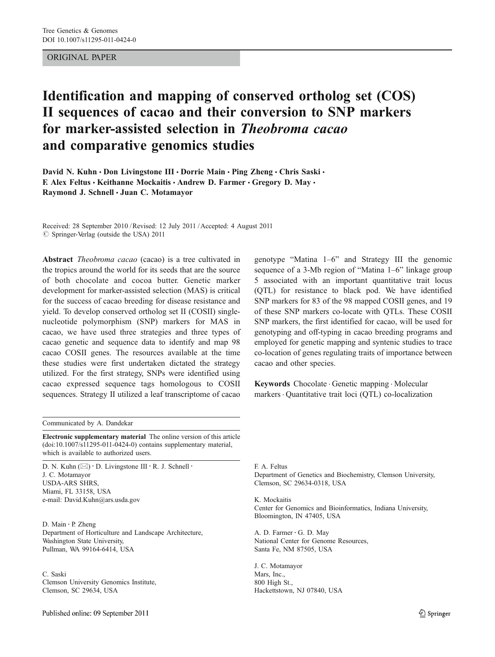## ORIGINAL PAPER

# Identification and mapping of conserved ortholog set (COS) II sequences of cacao and their conversion to SNP markers for marker-assisted selection in Theobroma cacao and comparative genomics studies

David N. Kuhn · Don Livingstone III · Dorrie Main · Ping Zheng · Chris Saski · F. Alex Feltus • Keithanne Mockaitis • Andrew D. Farmer • Gregory D. May • Raymond J. Schnell · Juan C. Motamayor

Received: 28 September 2010 /Revised: 12 July 2011 /Accepted: 4 August 2011  $\oslash$  Springer-Verlag (outside the USA) 2011

Abstract *Theobroma cacao* (cacao) is a tree cultivated in the tropics around the world for its seeds that are the source of both chocolate and cocoa butter. Genetic marker development for marker-assisted selection (MAS) is critical for the success of cacao breeding for disease resistance and yield. To develop conserved ortholog set II (COSII) singlenucleotide polymorphism (SNP) markers for MAS in cacao, we have used three strategies and three types of cacao genetic and sequence data to identify and map 98 cacao COSII genes. The resources available at the time these studies were first undertaken dictated the strategy utilized. For the first strategy, SNPs were identified using cacao expressed sequence tags homologous to COSII sequences. Strategy II utilized a leaf transcriptome of cacao

genotype "Matina 1–6" and Strategy III the genomic sequence of a 3-Mb region of "Matina 1–6" linkage group 5 associated with an important quantitative trait locus (QTL) for resistance to black pod. We have identified SNP markers for 83 of the 98 mapped COSII genes, and 19 of these SNP markers co-locate with QTLs. These COSII SNP markers, the first identified for cacao, will be used for genotyping and off-typing in cacao breeding programs and employed for genetic mapping and syntenic studies to trace co-location of genes regulating traits of importance between cacao and other species.

Keywords Chocolate . Genetic mapping . Molecular markers. Quantitative trait loci (QTL) co-localization

Communicated by A. Dandekar

Electronic supplementary material The online version of this article (doi:[10.1007/s11295-011-0424-0\)](http://dx.doi.org/10.1007/s11295-011-0424-0) contains supplementary material, which is available to authorized users.

D. N. Kuhn  $(\boxtimes) \cdot$  D. Livingstone III  $\cdot$  R. J. Schnell  $\cdot$ J. C. Motamayor USDA-ARS SHRS, Miami, FL 33158, USA e-mail: David.Kuhn@ars.usda.gov

D. Main · P. Zheng Department of Horticulture and Landscape Architecture, Washington State University, Pullman, WA 99164-6414, USA

C. Saski Clemson University Genomics Institute, Clemson, SC 29634, USA

F. A. Feltus Department of Genetics and Biochemistry, Clemson University, Clemson, SC 29634-0318, USA

K. Mockaitis Center for Genomics and Bioinformatics, Indiana University, Bloomington, IN 47405, USA

A. D. Farmer : G. D. May National Center for Genome Resources, Santa Fe, NM 87505, USA

J. C. Motamayor Mars, Inc., 800 High St., Hackettstown, NJ 07840, USA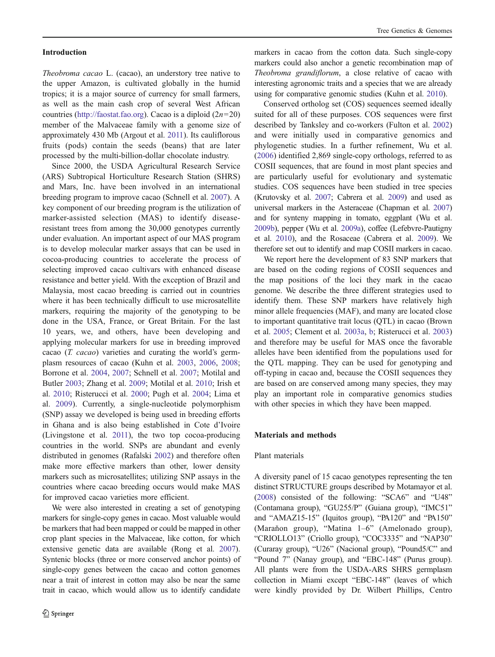#### Introduction

Theobroma cacao L. (cacao), an understory tree native to the upper Amazon, is cultivated globally in the humid tropics; it is a major source of currency for small farmers, as well as the main cash crop of several West African countries (<http://faostat.fao.org>). Cacao is a diploid  $(2n=20)$ member of the Malvaceae family with a genome size of approximately 430 Mb (Argout et al. [2011\)](#page-12-0). Its cauliflorous fruits (pods) contain the seeds (beans) that are later processed by the multi-billion-dollar chocolate industry.

Since 2000, the USDA Agricultural Research Service (ARS) Subtropical Horticulture Research Station (SHRS) and Mars, Inc. have been involved in an international breeding program to improve cacao (Schnell et al. [2007](#page-14-0)). A key component of our breeding program is the utilization of marker-assisted selection (MAS) to identify diseaseresistant trees from among the 30,000 genotypes currently under evaluation. An important aspect of our MAS program is to develop molecular marker assays that can be used in cocoa-producing countries to accelerate the process of selecting improved cacao cultivars with enhanced disease resistance and better yield. With the exception of Brazil and Malaysia, most cacao breeding is carried out in countries where it has been technically difficult to use microsatellite markers, requiring the majority of the genotyping to be done in the USA, France, or Great Britain. For the last 10 years, we, and others, have been developing and applying molecular markers for use in breeding improved cacao (T. cacao) varieties and curating the world's germplasm resources of cacao (Kuhn et al. [2003](#page-13-0), [2006,](#page-13-0) [2008](#page-13-0); Borrone et al. [2004,](#page-12-0) [2007](#page-12-0); Schnell et al. [2007;](#page-14-0) Motilal and Butler [2003;](#page-13-0) Zhang et al. [2009](#page-14-0); Motilal et al. [2010](#page-13-0); Irish et al. [2010](#page-13-0); Risterucci et al. [2000;](#page-14-0) Pugh et al. [2004](#page-14-0); Lima et al. [2009](#page-13-0)). Currently, a single-nucleotide polymorphism (SNP) assay we developed is being used in breeding efforts in Ghana and is also being established in Cote d'Ivoire (Livingstone et al. [2011](#page-13-0)), the two top cocoa-producing countries in the world. SNPs are abundant and evenly distributed in genomes (Rafalski [2002\)](#page-14-0) and therefore often make more effective markers than other, lower density markers such as microsatellites; utilizing SNP assays in the countries where cacao breeding occurs would make MAS for improved cacao varieties more efficient.

We were also interested in creating a set of genotyping markers for single-copy genes in cacao. Most valuable would be markers that had been mapped or could be mapped in other crop plant species in the Malvaceae, like cotton, for which extensive genetic data are available (Rong et al. [2007\)](#page-14-0). Syntenic blocks (three or more conserved anchor points) of single-copy genes between the cacao and cotton genomes near a trait of interest in cotton may also be near the same trait in cacao, which would allow us to identify candidate

markers in cacao from the cotton data. Such single-copy markers could also anchor a genetic recombination map of Theobroma grandiflorum, a close relative of cacao with interesting agronomic traits and a species that we are already using for comparative genomic studies (Kuhn et al. [2010](#page-13-0)).

Conserved ortholog set (COS) sequences seemed ideally suited for all of these purposes. COS sequences were first described by Tanksley and co-workers (Fulton et al. [2002](#page-13-0)) and were initially used in comparative genomics and phylogenetic studies. In a further refinement, Wu et al. [\(2006](#page-14-0)) identified 2,869 single-copy orthologs, referred to as COSII sequences, that are found in most plant species and are particularly useful for evolutionary and systematic studies. COS sequences have been studied in tree species (Krutovsky et al. [2007](#page-13-0); Cabrera et al. [2009](#page-12-0)) and used as universal markers in the Asteraceae (Chapman et al. [2007](#page-13-0)) and for synteny mapping in tomato, eggplant (Wu et al. [2009b](#page-14-0)), pepper (Wu et al. [2009a](#page-14-0)), coffee (Lefebvre-Pautigny et al. [2010](#page-13-0)), and the Rosaceae (Cabrera et al. [2009\)](#page-12-0). We therefore set out to identify and map COSII markers in cacao.

We report here the development of 83 SNP markers that are based on the coding regions of COSII sequences and the map positions of the loci they mark in the cacao genome. We describe the three different strategies used to identify them. These SNP markers have relatively high minor allele frequencies (MAF), and many are located close to important quantitative trait locus (QTL) in cacao (Brown et al. [2005](#page-12-0); Clement et al. [2003a,](#page-13-0) [b](#page-13-0); Risterucci et al. [2003](#page-14-0)) and therefore may be useful for MAS once the favorable alleles have been identified from the populations used for the QTL mapping. They can be used for genotyping and off-typing in cacao and, because the COSII sequences they are based on are conserved among many species, they may play an important role in comparative genomics studies with other species in which they have been mapped.

#### Materials and methods

#### Plant materials

A diversity panel of 15 cacao genotypes representing the ten distinct STRUCTURE groups described by Motamayor et al. [\(2008\)](#page-13-0) consisted of the following: "SCA6" and "U48" (Contamana group), "GU255/P" (Guiana group), "IMC51" and "AMAZ15-15" (Iquitos group), "PA120" and "PA150" (Maraňon group), "Matina 1–6" (Amelonado group), "CRIOLLO13" (Criollo group), "COC3335" and "NAP30" (Curaray group), "U26" (Nacional group), "Pound5/C" and "Pound 7" (Nanay group), and "EBC-148" (Purus group). All plants were from the USDA-ARS SHRS germplasm collection in Miami except "EBC-148" (leaves of which were kindly provided by Dr. Wilbert Phillips, Centro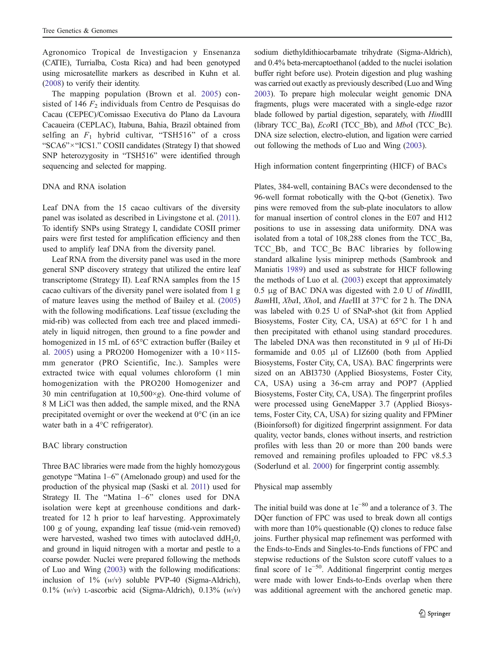Agronomico Tropical de Investigacion y Ensenanza (CATIE), Turrialba, Costa Rica) and had been genotyped using microsatellite markers as described in Kuhn et al. [\(2008\)](#page-13-0) to verify their identity.

The mapping population (Brown et al. [2005\)](#page-12-0) consisted of 146  $F_2$  individuals from Centro de Pesquisas do Cacau (CEPEC)/Comissao Executiva do Plano da Lavoura Cacaueira (CEPLAC), Itabuna, Bahia, Brazil obtained from selfing an  $F_1$  hybrid cultivar, "TSH516" of a cross "SCA6"×"ICS1." COSII candidates (Strategy I) that showed SNP heterozygosity in "TSH516" were identified through sequencing and selected for mapping.

#### DNA and RNA isolation

Leaf DNA from the 15 cacao cultivars of the diversity panel was isolated as described in Livingstone et al. [\(2011](#page-13-0)). To identify SNPs using Strategy I, candidate COSII primer pairs were first tested for amplification efficiency and then used to amplify leaf DNA from the diversity panel.

Leaf RNA from the diversity panel was used in the more general SNP discovery strategy that utilized the entire leaf transcriptome (Strategy II). Leaf RNA samples from the 15 cacao cultivars of the diversity panel were isolated from 1 g of mature leaves using the method of Bailey et al. ([2005\)](#page-12-0) with the following modifications. Leaf tissue (excluding the mid-rib) was collected from each tree and placed immediately in liquid nitrogen, then ground to a fine powder and homogenized in 15 mL of 65°C extraction buffer (Bailey et al. [2005\)](#page-12-0) using a PRO200 Homogenizer with a  $10 \times 115$ mm generator (PRO Scientific, Inc.). Samples were extracted twice with equal volumes chloroform (1 min homogenization with the PRO200 Homogenizer and 30 min centrifugation at  $10,500 \times g$ ). One-third volume of 8 M LiCl was then added, the sample mixed, and the RNA precipitated overnight or over the weekend at 0°C (in an ice water bath in a 4°C refrigerator).

#### BAC library construction

Three BAC libraries were made from the highly homozygous genotype "Matina 1–6" (Amelonado group) and used for the production of the physical map (Saski et al. [2011\)](#page-14-0) used for Strategy II. The "Matina 1–6" clones used for DNA isolation were kept at greenhouse conditions and darktreated for 12 h prior to leaf harvesting. Approximately 100 g of young, expanding leaf tissue (mid-vein removed) were harvested, washed two times with autoclaved ddH<sub>2</sub>0, and ground in liquid nitrogen with a mortar and pestle to a coarse powder. Nuclei were prepared following the methods of Luo and Wing ([2003](#page-13-0)) with the following modifications: inclusion of  $1\%$  (w/v) soluble PVP-40 (Sigma-Aldrich), 0.1% (w/v) L-ascorbic acid (Sigma-Aldrich), 0.13% (w/v) sodium diethyldithiocarbamate trihydrate (Sigma-Aldrich), and 0.4% beta-mercaptoethanol (added to the nuclei isolation buffer right before use). Protein digestion and plug washing was carried out exactly as previously described (Luo and Wing [2003\)](#page-13-0). To prepare high molecular weight genomic DNA fragments, plugs were macerated with a single-edge razor blade followed by partial digestion, separately, with HindIII (library TCC\_Ba), EcoRI (TCC\_Bb), and MboI (TCC\_Bc). DNA size selection, electro-elution, and ligation were carried out following the methods of Luo and Wing ([2003](#page-13-0)).

#### High information content fingerprinting (HICF) of BACs

Plates, 384-well, containing BACs were decondensed to the 96-well format robotically with the Q-bot (Genetix). Two pins were removed from the sub-plate inoculators to allow for manual insertion of control clones in the E07 and H12 positions to use in assessing data uniformity. DNA was isolated from a total of 108,288 clones from the TCC\_Ba, TCC\_Bb, and TCC\_Bc BAC libraries by following standard alkaline lysis miniprep methods (Sambrook and Maniatis [1989\)](#page-14-0) and used as substrate for HICF following the methods of Luo et al. [\(2003](#page-13-0)) except that approximately 0.5 μg of BAC DNA was digested with 2.0 U of HindIII, BamHI, XbaI, XhoI, and HaeIII at 37°C for 2 h. The DNA was labeled with 0.25 U of SNaP-shot (kit from Applied Biosystems, Foster City, CA, USA) at 65°C for 1 h and then precipitated with ethanol using standard procedures. The labeled DNA was then reconstituted in 9 μl of Hi-Di formamide and 0.05 μl of LIZ600 (both from Applied Biosystems, Foster City, CA, USA). BAC fingerprints were sized on an ABI3730 (Applied Biosystems, Foster City, CA, USA) using a 36-cm array and POP7 (Applied Biosystems, Foster City, CA, USA). The fingerprint profiles were processed using GeneMapper 3.7 (Applied Biosystems, Foster City, CA, USA) for sizing quality and FPMiner (Bioinforsoft) for digitized fingerprint assignment. For data quality, vector bands, clones without inserts, and restriction profiles with less than 20 or more than 200 bands were removed and remaining profiles uploaded to FPC v8.5.3 (Soderlund et al. [2000\)](#page-14-0) for fingerprint contig assembly.

#### Physical map assembly

The initial build was done at  $1e^{-80}$  and a tolerance of 3. The DQer function of FPC was used to break down all contigs with more than 10% questionable (Q) clones to reduce false joins. Further physical map refinement was performed with the Ends-to-Ends and Singles-to-Ends functions of FPC and stepwise reductions of the Sulston score cutoff values to a final score of 1e<sup>−</sup>50. Additional fingerprint contig merges were made with lower Ends-to-Ends overlap when there was additional agreement with the anchored genetic map.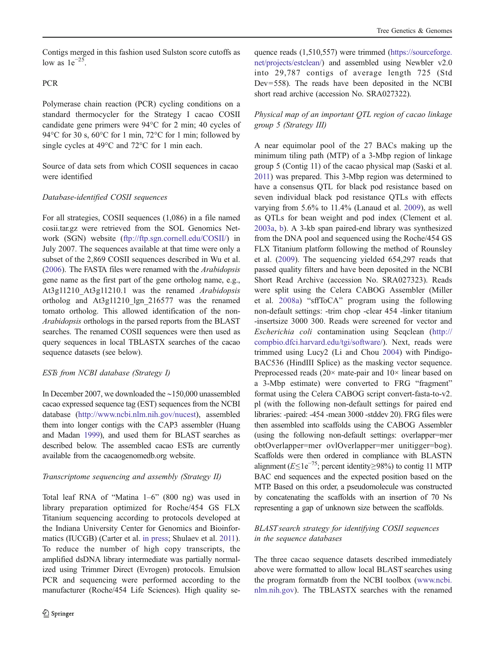Contigs merged in this fashion used Sulston score cutoffs as low as  $1e^{-25}$ .

# PCR

Polymerase chain reaction (PCR) cycling conditions on a standard thermocycler for the Strategy I cacao COSII candidate gene primers were 94°C for 2 min; 40 cycles of 94°C for 30 s, 60°C for 1 min, 72°C for 1 min; followed by single cycles at 49°C and 72°C for 1 min each.

Source of data sets from which COSII sequences in cacao were identified

## Database-identified COSII sequences

For all strategies, COSII sequences (1,086) in a file named cosii.tar.gz were retrieved from the SOL Genomics Network (SGN) website [\(ftp://ftp.sgn.cornell.edu/COSII/](ftp://ftp.sgn.cornell.edu/COSII/)) in July 2007. The sequences available at that time were only a subset of the 2,869 COSII sequences described in Wu et al. [\(2006](#page-14-0)). The FASTA files were renamed with the Arabidopsis gene name as the first part of the gene ortholog name, e.g., At3g11210 At3g11210.1 was the renamed Arabidopsis ortholog and At3g11210\_lgn\_216577 was the renamed tomato ortholog. This allowed identification of the non-Arabidopsis orthologs in the parsed reports from the BLAST searches. The renamed COSII sequences were then used as query sequences in local TBLASTX searches of the cacao sequence datasets (see below).

## ESTs from NCBI database (Strategy I)

In December 2007, we downloaded the ∼150,000 unassembled cacao expressed sequence tag (EST) sequences from the NCBI database [\(http://www.ncbi.nlm.nih.gov/nucest\)](http://www.ncbi.nlm.nih.gov/nucest), assembled them into longer contigs with the CAP3 assembler (Huang and Madan [1999](#page-13-0)), and used them for BLAST searches as described below. The assembled cacao ESTs are currently available from the cacaogenomedb.org website.

## Transcriptome sequencing and assembly (Strategy II)

Total leaf RNA of "Matina 1–6" (800 ng) was used in library preparation optimized for Roche/454 GS FLX Titanium sequencing according to protocols developed at the Indiana University Center for Genomics and Bioinformatics (IUCGB) (Carter et al. [in press](#page-13-0); Shulaev et al. [2011](#page-14-0)). To reduce the number of high copy transcripts, the amplified dsDNA library intermediate was partially normalized using Trimmer Direct (Evrogen) protocols. Emulsion PCR and sequencing were performed according to the manufacturer (Roche/454 Life Sciences). High quality se-

quence reads (1,510,557) were trimmed [\(https://sourceforge.](https://sourceforge.net/projects/estclean/) [net/projects/estclean/](https://sourceforge.net/projects/estclean/)) and assembled using Newbler v2.0 into 29,787 contigs of average length 725 (Std Dev=558). The reads have been deposited in the NCBI short read archive (accession No. SRA027322).

# Physical map of an important QTL region of cacao linkage group 5 (Strategy III)

A near equimolar pool of the 27 BACs making up the minimum tiling path (MTP) of a 3-Mbp region of linkage group 5 (Contig 11) of the cacao physical map (Saski et al. [2011](#page-14-0)) was prepared. This 3-Mbp region was determined to have a consensus QTL for black pod resistance based on seven individual black pod resistance QTLs with effects varying from 5.6% to 11.4% (Lanaud et al. [2009](#page-13-0)), as well as QTLs for bean weight and pod index (Clement et al. [2003a](#page-13-0), [b](#page-13-0)). A 3-kb span paired-end library was synthesized from the DNA pool and sequenced using the Roche/454 GS FLX Titanium platform following the method of Rounsley et al. ([2009\)](#page-14-0). The sequencing yielded 654,297 reads that passed quality filters and have been deposited in the NCBI Short Read Archive (accession No. SRA027323). Reads were split using the Celera CABOG Assembler (Miller et al. [2008a](#page-13-0)) "sffToCA" program using the following non-default settings: -trim chop -clear 454 -linker titanium -insertsize 3000 300. Reads were screened for vector and Escherichia coli contamination using Seqclean [\(http://](http://compbio.dfci.harvard.edu/tgi/software/) [compbio.dfci.harvard.edu/tgi/software/\)](http://compbio.dfci.harvard.edu/tgi/software/). Next, reads were trimmed using Lucy2 (Li and Chou [2004\)](#page-13-0) with Pindigo-BAC536 (HindIII Splice) as the masking vector sequence. Preprocessed reads (20× mate-pair and 10× linear based on a 3-Mbp estimate) were converted to FRG "fragment" format using the Celera CABOG script convert-fasta-to-v2. pl (with the following non-default settings for paired end libraries: -paired: -454 -mean 3000 -stddev 20). FRG files were then assembled into scaffolds using the CABOG Assembler (using the following non-default settings: overlapper=mer obtOverlapper=mer ovlOverlapper=mer unitigger=bog). Scaffolds were then ordered in compliance with BLASTN alignment ( $E \leq 1e^{-75}$ ; percent identity≥98%) to contig 11 MTP BAC end sequences and the expected position based on the MTP. Based on this order, a pseudomolecule was constructed by concatenating the scaffolds with an insertion of 70 Ns representing a gap of unknown size between the scaffolds.

# BLAST search strategy for identifying COSII sequences in the sequence databases

The three cacao sequence datasets described immediately above were formatted to allow local BLAST searches using the program formatdb from the NCBI toolbox ([www.ncbi.](http://www.ncbi.nlm.nih.gov) [nlm.nih.gov](http://www.ncbi.nlm.nih.gov)). The TBLASTX searches with the renamed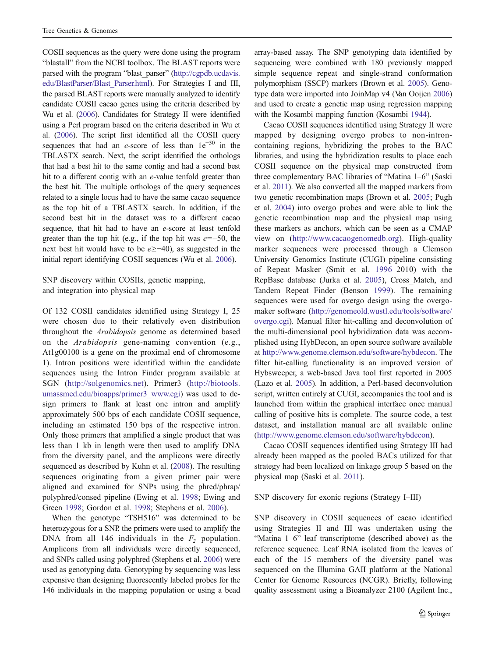COSII sequences as the query were done using the program "blastall" from the NCBI toolbox. The BLAST reports were parsed with the program "blast\_parser" [\(http://cgpdb.ucdavis.](http://cgpdb.ucdavis.edu/BlastParser/Blast_Parser.html) [edu/BlastParser/Blast\\_Parser.html\)](http://cgpdb.ucdavis.edu/BlastParser/Blast_Parser.html). For Strategies I and III, the parsed BLAST reports were manually analyzed to identify candidate COSII cacao genes using the criteria described by Wu et al. [\(2006](#page-14-0)). Candidates for Strategy II were identified using a Perl program based on the criteria described in Wu et al. [\(2006\)](#page-14-0). The script first identified all the COSII query sequences that had an e-score of less than  $1e^{-50}$  in the TBLASTX search. Next, the script identified the orthologs that had a best hit to the same contig and had a second best hit to a different contig with an e-value tenfold greater than the best hit. The multiple orthologs of the query sequences related to a single locus had to have the same cacao sequence as the top hit of a TBLASTX search. In addition, if the second best hit in the dataset was to a different cacao sequence, that hit had to have an e-score at least tenfold greater than the top hit (e.g., if the top hit was  $e=-50$ , the next best hit would have to be e≥−40), as suggested in the initial report identifying COSII sequences (Wu et al. [2006\)](#page-14-0).

SNP discovery within COSIIs, genetic mapping, and integration into physical map

Of 132 COSII candidates identified using Strategy I, 25 were chosen due to their relatively even distribution throughout the Arabidopsis genome as determined based on the Arabidopsis gene-naming convention (e.g., At1g00100 is a gene on the proximal end of chromosome 1). Intron positions were identified within the candidate sequences using the Intron Finder program available at SGN [\(http://solgenomics.net\)](http://solgenomics.net). Primer3 [\(http://biotools.](http://biotools.umassmed.edu/bioapps/primer3_www.cgi) [umassmed.edu/bioapps/primer3\\_www.cgi\)](http://biotools.umassmed.edu/bioapps/primer3_www.cgi) was used to design primers to flank at least one intron and amplify approximately 500 bps of each candidate COSII sequence, including an estimated 150 bps of the respective intron. Only those primers that amplified a single product that was less than 1 kb in length were then used to amplify DNA from the diversity panel, and the amplicons were directly sequenced as described by Kuhn et al. [\(2008](#page-13-0)). The resulting sequences originating from a given primer pair were aligned and examined for SNPs using the phred/phrap/ polyphred/consed pipeline (Ewing et al. [1998](#page-13-0); Ewing and Green [1998](#page-13-0); Gordon et al. [1998](#page-13-0); Stephens et al. [2006](#page-14-0)).

When the genotype "TSH516" was determined to be heterozygous for a SNP, the primers were used to amplify the DNA from all 146 individuals in the  $F_2$  population. Amplicons from all individuals were directly sequenced, and SNPs called using polyphred (Stephens et al. [2006\)](#page-14-0) were used as genotyping data. Genotyping by sequencing was less expensive than designing fluorescently labeled probes for the 146 individuals in the mapping population or using a bead

array-based assay. The SNP genotyping data identified by sequencing were combined with 180 previously mapped simple sequence repeat and single-strand conformation polymorphism (SSCP) markers (Brown et al. [2005\)](#page-12-0). Genotype data were imported into JoinMap v4 (Van Ooijen [2006](#page-14-0)) and used to create a genetic map using regression mapping with the Kosambi mapping function (Kosambi [1944\)](#page-13-0).

Cacao COSII sequences identified using Strategy II were mapped by designing overgo probes to non-introncontaining regions, hybridizing the probes to the BAC libraries, and using the hybridization results to place each COSII sequence on the physical map constructed from three complementary BAC libraries of "Matina 1–6" (Saski et al. [2011](#page-14-0)). We also converted all the mapped markers from two genetic recombination maps (Brown et al. [2005;](#page-12-0) Pugh et al. [2004\)](#page-14-0) into overgo probes and were able to link the genetic recombination map and the physical map using these markers as anchors, which can be seen as a CMAP view on (<http://www.cacaogenomedb.org>). High-quality marker sequences were processed through a Clemson University Genomics Institute (CUGI) pipeline consisting of Repeat Masker (Smit et al. [1996](#page-14-0)–2010) with the RepBase database (Jurka et al. [2005\)](#page-13-0), Cross\_Match, and Tandem Repeat Finder (Benson [1999\)](#page-12-0). The remaining sequences were used for overgo design using the overgomaker software ([http://genomeold.wustl.edu/tools/software/](http://genomeold.wustl.edu/tools/software/overgo.cgi) [overgo.cgi\)](http://genomeold.wustl.edu/tools/software/overgo.cgi). Manual filter hit-calling and deconvolution of the multi-dimensional pool hybridization data was accomplished using HybDecon, an open source software available at [http://www.genome.clemson.edu/software/hybdecon.](http://www.genome.clemson.edu/software/hybdecon) The filter hit-calling functionality is an improved version of Hybsweeper, a web-based Java tool first reported in 2005 (Lazo et al. [2005\)](#page-13-0). In addition, a Perl-based deconvolution script, written entirely at CUGI, accompanies the tool and is launched from within the graphical interface once manual calling of positive hits is complete. The source code, a test dataset, and installation manual are all available online [\(http://www.genome.clemson.edu/software/hybdecon](http://www.genome.clemson.edu/software/hybdecon)).

Cacao COSII sequences identified using Strategy III had already been mapped as the pooled BACs utilized for that strategy had been localized on linkage group 5 based on the physical map (Saski et al. [2011](#page-14-0)).

SNP discovery for exonic regions (Strategy I–III)

SNP discovery in COSII sequences of cacao identified using Strategies II and III was undertaken using the "Matina 1–6" leaf transcriptome (described above) as the reference sequence. Leaf RNA isolated from the leaves of each of the 15 members of the diversity panel was sequenced on the Illumina GAII platform at the National Center for Genome Resources (NCGR). Briefly, following quality assessment using a Bioanalyzer 2100 (Agilent Inc.,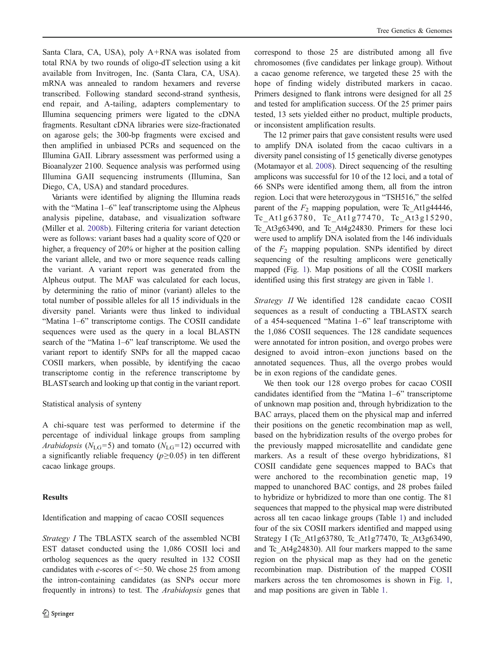Santa Clara, CA, USA), poly A+RNA was isolated from total RNA by two rounds of oligo-dT selection using a kit available from Invitrogen, Inc. (Santa Clara, CA, USA). mRNA was annealed to random hexamers and reverse transcribed. Following standard second-strand synthesis, end repair, and A-tailing, adapters complementary to Illumina sequencing primers were ligated to the cDNA fragments. Resultant cDNA libraries were size-fractionated on agarose gels; the 300-bp fragments were excised and then amplified in unbiased PCRs and sequenced on the Illumina GAII. Library assessment was performed using a Bioanalyzer 2100. Sequence analysis was performed using Illumina GAII sequencing instruments (Illumina, San Diego, CA, USA) and standard procedures.

Variants were identified by aligning the Illumina reads with the "Matina 1–6" leaf transcriptome using the Alpheus analysis pipeline, database, and visualization software (Miller et al. [2008b](#page-13-0)). Filtering criteria for variant detection were as follows: variant bases had a quality score of Q20 or higher, a frequency of 20% or higher at the position calling the variant allele, and two or more sequence reads calling the variant. A variant report was generated from the Alpheus output. The MAF was calculated for each locus, by determining the ratio of minor (variant) alleles to the total number of possible alleles for all 15 individuals in the diversity panel. Variants were thus linked to individual "Matina 1–6" transcriptome contigs. The COSII candidate sequences were used as the query in a local BLASTN search of the "Matina 1–6" leaf transcriptome. We used the variant report to identify SNPs for all the mapped cacao COSII markers, when possible, by identifying the cacao transcriptome contig in the reference transcriptome by BLAST search and looking up that contig in the variant report.

#### Statistical analysis of synteny

A chi-square test was performed to determine if the percentage of individual linkage groups from sampling Arabidopsis ( $N_{\text{LG}}=5$ ) and tomato ( $N_{\text{LG}}=12$ ) occurred with a significantly reliable frequency ( $p \ge 0.05$ ) in ten different cacao linkage groups.

## Results

# Identification and mapping of cacao COSII sequences

Strategy I The TBLASTX search of the assembled NCBI EST dataset conducted using the 1,086 COSII loci and ortholog sequences as the query resulted in 132 COSII candidates with e-scores of <−50. We chose 25 from among the intron-containing candidates (as SNPs occur more frequently in introns) to test. The Arabidopsis genes that correspond to those 25 are distributed among all five chromosomes (five candidates per linkage group). Without a cacao genome reference, we targeted these 25 with the hope of finding widely distributed markers in cacao. Primers designed to flank introns were designed for all 25 and tested for amplification success. Of the 25 primer pairs tested, 13 sets yielded either no product, multiple products, or inconsistent amplification results.

The 12 primer pairs that gave consistent results were used to amplify DNA isolated from the cacao cultivars in a diversity panel consisting of 15 genetically diverse genotypes (Motamayor et al. [2008](#page-13-0)). Direct sequencing of the resulting amplicons was successful for 10 of the 12 loci, and a total of 66 SNPs were identified among them, all from the intron region. Loci that were heterozygous in "TSH516," the selfed parent of the  $F_2$  mapping population, were Tc At1g44446, Tc At 1 g 6 3 7 8 0, Tc At 1 g 7 7 4 7 0, Tc At 3 g 1 5 2 9 0, Tc At3g63490, and Tc At4g24830. Primers for these loci were used to amplify DNA isolated from the 146 individuals of the  $F_2$  mapping population. SNPs identified by direct sequencing of the resulting amplicons were genetically mapped (Fig. [1](#page-6-0)). Map positions of all the COSII markers identified using this first strategy are given in Table [1](#page-7-0).

Strategy II We identified 128 candidate cacao COSII sequences as a result of conducting a TBLASTX search of a 454-sequenced "Matina 1–6" leaf transcriptome with the 1,086 COSII sequences. The 128 candidate sequences were annotated for intron position, and overgo probes were designed to avoid intron–exon junctions based on the annotated sequences. Thus, all the overgo probes would be in exon regions of the candidate genes.

We then took our 128 overgo probes for cacao COSII candidates identified from the "Matina 1–6" transcriptome of unknown map position and, through hybridization to the BAC arrays, placed them on the physical map and inferred their positions on the genetic recombination map as well, based on the hybridization results of the overgo probes for the previously mapped microsatellite and candidate gene markers. As a result of these overgo hybridizations, 81 COSII candidate gene sequences mapped to BACs that were anchored to the recombination genetic map, 19 mapped to unanchored BAC contigs, and 28 probes failed to hybridize or hybridized to more than one contig. The 81 sequences that mapped to the physical map were distributed across all ten cacao linkage groups (Table [1](#page-7-0)) and included four of the six COSII markers identified and mapped using Strategy I (Tc\_At1g63780, Tc\_At1g77470, Tc\_At3g63490, and Tc\_At4g24830). All four markers mapped to the same region on the physical map as they had on the genetic recombination map. Distribution of the mapped COSII markers across the ten chromosomes is shown in Fig. [1,](#page-6-0) and map positions are given in Table [1](#page-7-0).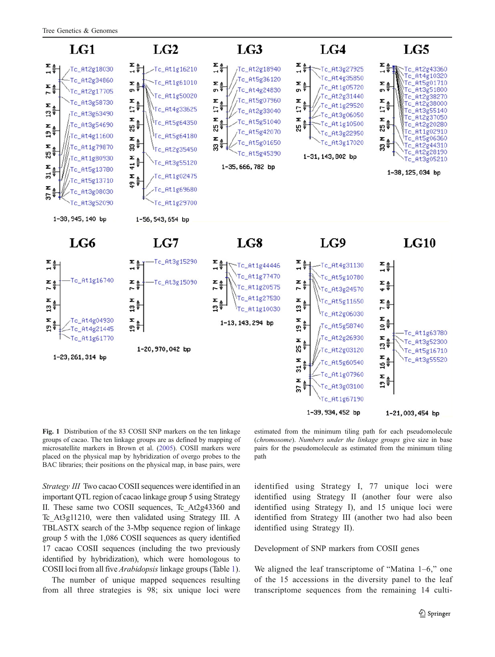<span id="page-6-0"></span>

Fig. 1 Distribution of the 83 COSII SNP markers on the ten linkage groups of cacao. The ten linkage groups are as defined by mapping of microsatellite markers in Brown et al. [\(2005](#page-12-0)). COSII markers were placed on the physical map by hybridization of overgo probes to the BAC libraries; their positions on the physical map, in base pairs, were

Strategy III Two cacao COSII sequences were identified in an important QTL region of cacao linkage group 5 using Strategy II. These same two COSII sequences, Tc\_At2g43360 and Tc\_At3g11210, were then validated using Strategy III. A TBLASTX search of the 3-Mbp sequence region of linkage group 5 with the 1,086 COSII sequences as query identified 17 cacao COSII sequences (including the two previously identified by hybridization), which were homologous to COSII loci from all five Arabidopsis linkage groups (Table [1\)](#page-7-0).

The number of unique mapped sequences resulting from all three strategies is 98; six unique loci were

estimated from the minimum tiling path for each pseudomolecule (chromosome). Numbers under the linkage groups give size in base pairs for the pseudomolecule as estimated from the minimum tiling path

identified using Strategy I, 77 unique loci were identified using Strategy II (another four were also identified using Strategy I), and 15 unique loci were identified from Strategy III (another two had also been identified using Strategy II).

Development of SNP markers from COSII genes

We aligned the leaf transcriptome of "Matina 1–6," one of the 15 accessions in the diversity panel to the leaf transcriptome sequences from the remaining 14 culti-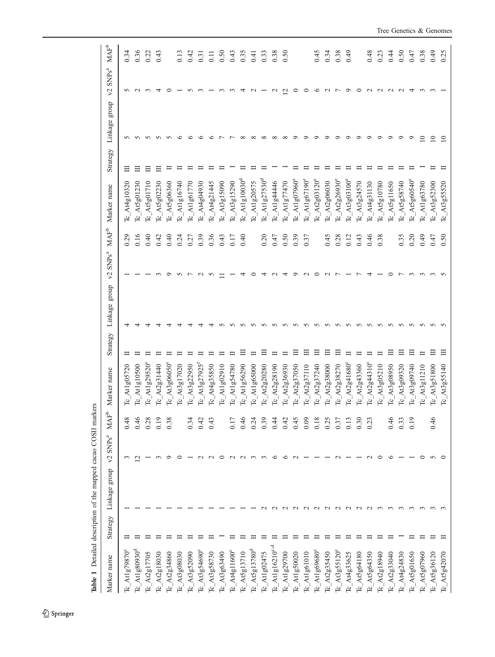<span id="page-7-0"></span>

| Marker name                                        | Strategy | Linkage group | $v2$ SNPs <sup>a</sup> | $\ensuremath{\mathsf{MAF}}^\ensuremath{\mathsf{b}}$ | Marker name                                  | Strategy | Linkage group | ${\rm SNPs}^{\rm a}$<br>$\mathcal{L}$ | $\ensuremath{\mathsf{MAF}}^\ensuremath{\mathsf{b}}$ | Marker name                       | Strategy | Linkage group   | ${\rm SNPs}^{\rm a}$<br>$\mathcal{L}$ | $\ensuremath{\mathsf{MAF}}^\ensuremath{\mathsf{b}}$ |
|----------------------------------------------------|----------|---------------|------------------------|-----------------------------------------------------|----------------------------------------------|----------|---------------|---------------------------------------|-----------------------------------------------------|-----------------------------------|----------|-----------------|---------------------------------------|-----------------------------------------------------|
| At1g79870°<br>β                                    |          |               |                        | 0.48                                                | At1g05720<br>ρ                               |          |               |                                       | 0.29                                                | $Tc$ At 4g10320                   |          |                 |                                       | 0.34                                                |
| $Tc\_At1 g80930^d$                                 |          |               |                        | 0.46                                                | Atlg10500<br>ρ                               |          |               |                                       | 0.16                                                | $Tc$ At 5g01230                   |          |                 |                                       | 0.36                                                |
| At2g17705<br>$\mathbb{E}$                          |          |               |                        | 0.28                                                | At1g29520°<br>ρ                              |          |               |                                       | 0.40                                                | $Tc\_At5g01710$                   | ⊟        | n               |                                       | 0.22                                                |
| $Tc$ $\Delta t2g18030$                             |          |               |                        | 0.19                                                | At2g31440<br>ط                               |          |               |                                       | 0.42                                                | At5g02230<br>ط                    | ⊟        | n               | 4                                     | 0.43                                                |
| At2g34860<br>β                                     |          |               |                        | 0.38                                                | $A$ t3g06050°<br>ط                           |          |               |                                       | 0.40                                                | $Tc$ At5g06360                    |          |                 |                                       |                                                     |
| $Tc$ _At3g08030                                    |          |               |                        |                                                     | $A$ t3g17020<br>ρ                            |          |               |                                       | 0.24                                                | $Tc$ Atlg16740                    |          |                 |                                       | 0.13                                                |
| At3g52090<br>٣                                     |          |               |                        | 0.34                                                | At3g22950<br>ط                               |          |               |                                       | 0.27                                                | $Tc$ Atlg61770                    |          |                 |                                       | 0.42                                                |
| At3g54690°<br>$\overline{\mathbb{C}}$              |          |               |                        | 0.42                                                | $-4.13$ $g27925$ <sup>1</sup><br>ط           |          |               |                                       | 0.39                                                | At4g04930<br>$\overline{a}$       |          |                 |                                       | 0.31                                                |
| At3g58730<br>$\mathbb{E}$                          |          |               |                        | 0.43                                                | Atdg35850<br>ρ                               |          |               |                                       | 0.36                                                | $Tc$ At4g21445                    |          |                 |                                       | 0.11                                                |
| $Tc$ At3g63490                                     |          |               |                        |                                                     | At1g02910<br>ρ                               |          |               |                                       | 0.43                                                | $Tc$ At3g15090                    |          |                 |                                       | 0.50                                                |
| $A$ t $4$ g $11600$ <sup>c</sup><br>$\mathfrak{p}$ |          |               |                        | 0.17                                                | At1g54780<br>ρ                               |          |               |                                       | 0.17                                                | $Tc$ At3g15290                    |          |                 |                                       | 0.43                                                |
| $A$ t $5g$ 13710<br>$\mathfrak{p}$                 |          |               |                        | 0.46                                                | Atlg56290<br>ط                               |          |               |                                       | 0.40                                                | $Tc\_At1g10030^d$                 |          | $\infty$        | 4                                     | 0.35                                                |
| $Tc\_At5g13780^d$                                  |          |               |                        | 0.24                                                | At1g65000<br>ط                               |          |               |                                       |                                                     | $Tc$ Atlg20575                    |          | $\infty$        |                                       | (4)                                                 |
| Tc_At1g02475                                       |          |               |                        | 0.39                                                | $\left[ \mathrm{A12g20280}\right]$<br>ρ      |          |               |                                       | 0.20                                                | $Tc\_At1g27530^d$                 |          | $\infty$        |                                       | 0.33                                                |
| At1g16210° <sub>°</sub><br>$\mathfrak{p}$          |          |               |                        | 0.44                                                | At2g28190<br>ط                               |          |               |                                       | 0.47                                                | $Tc$ _At1g44446                   |          | $\infty$        |                                       | 0.38                                                |
| $Tc$ _Atlg29700                                    |          |               |                        | 0.42                                                | At2g36930<br>Ŕ                               |          |               |                                       | 0.50                                                | $Tc\_At1g77470$                   |          | $\infty$        | $\mathbf{\sim}$                       | 0.50                                                |
| At1g50020<br>$\mathfrak{p}$                        |          |               |                        | 0.45                                                | At2g37050<br>ρ                               |          |               |                                       | 0.39                                                | $Tc$ Atlg07960°                   |          | ◦               |                                       |                                                     |
| $Tc\_At1g61010$                                    |          |               |                        | 0.09                                                | At2g37110<br>ρ                               |          |               |                                       | 0.37                                                | $Tc$ At1g67190 $^{\circ}$         |          |                 |                                       |                                                     |
| At1g69680°<br>$\mathfrak{p}$                       |          |               |                        | 0.18                                                | At2g37240<br>ρ                               |          |               |                                       |                                                     | $\Gamma$ <sub>C_</sub> At2g03120° |          | ◠               | ∘                                     | 645                                                 |
| At2g35450<br>ρ                                     |          |               |                        | 0.25                                                | At2g38000<br>ط                               |          |               |                                       | 0.45                                                | At2g06030<br>م<br>P               |          | ○               | $\mathbf{\sim}$                       | 0.34                                                |
| $Tc$ _At3g55120 $^{\circ}$                         |          | $\sim$        |                        | 0.37                                                | At2g38270<br>ط                               | Ξ        |               |                                       | 0.28                                                | $Tc$ At $2g26930°$                |          | ◦               |                                       | 0.38                                                |
| Tc_At4g33625                                       |          |               |                        | 0.13                                                | At2g41680°<br>ρ                              |          |               |                                       | 0.12                                                | $Tc\_At3g03100^{\circ}$           |          | ⌒               | $\circ$                               | 64.0                                                |
| $A$ t5g64180<br>$\mu$                              |          |               |                        | 0.30                                                | At2g43360<br>ρ                               |          |               |                                       | 0.43                                                | $Tc$ At3g24570                    |          | $\circ$         |                                       |                                                     |
| $Tc$ _At5g64350                                    |          |               |                        | 0.23                                                | $-412g44310^{\circ}$<br>Ŕ                    |          |               |                                       | 0.46                                                | $Tc_A$ $(4g31130$                 |          | $\circ$         |                                       | 0.48                                                |
| $Tc$ At2g18940                                     |          |               |                        |                                                     | At3g05210<br>ρ                               |          |               |                                       | 0.38                                                | $Tc$ At5g10780                    |          | $\circ$         |                                       | 0.23                                                |
| $Tc$ At2g33040                                     |          |               |                        | 946                                                 | At3g08950<br>ρ                               |          |               |                                       |                                                     | $Ic$ At5g11650                    |          | $\circ$         |                                       | 0.44                                                |
| At4g24830<br>$\mathbb{E}$                          |          |               |                        | 0.33                                                | At3g09320<br>Ŕ                               |          |               |                                       | 0.35                                                | At5g58740<br>$\overline{c}$       |          | Ó               |                                       | 0.50                                                |
| $Tc$ _At5g01650                                    |          |               |                        | 0.19                                                | At3g09740<br>ط                               | Ξ        |               |                                       | 0.20                                                | $A$ t5g60540°<br>Ŕ                |          | O               | 4                                     | 0.47                                                |
| $Tc$ At5g07960                                     |          |               |                        |                                                     | A13g11210<br>ρ                               | ᄇ        |               |                                       | 0.49                                                | $Tc$ Atlg63780                    |          | $\overline{10}$ |                                       | 0.38                                                |
| $Tc$ _At5g36120                                    |          |               |                        | 0.46                                                | At3g51800<br>ρ                               | 日        |               |                                       | 0.47                                                | $Tc$ At3g52300                    |          | $\overline{10}$ |                                       | 64.0                                                |
| $Tc$ _At5g42070                                    |          |               |                        |                                                     | $\Gamma$ <sub>C</sub> At <sub>3</sub> g55140 | 日        |               |                                       | 0.50                                                | $Tc$ At3g55520                    |          | $\overline{10}$ |                                       | 0.25                                                |

Table 1 Detailed description of the mapped cacao COSII markers Table 1 Detailed description of the mapped cacao COSII markers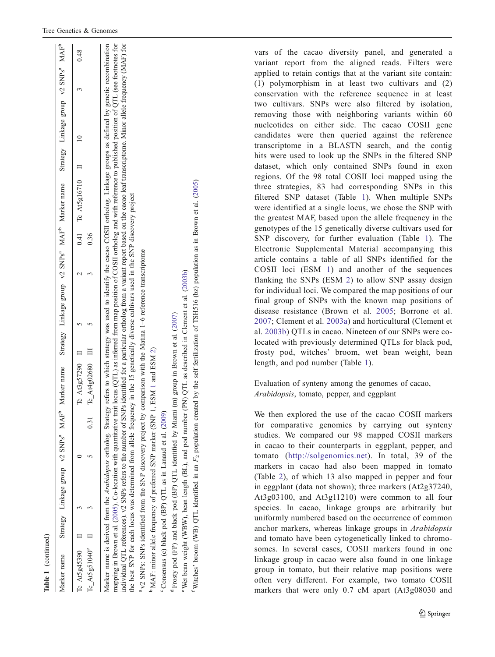| í |
|---|
|   |
|   |
|   |
|   |
|   |
|   |
|   |
| ۰ |
|   |
|   |
|   |
|   |
|   |

| Rabite 1 (Communical)                       |   |                                                                                                                                                                                                                                                                                                                                                                                                                                                                                                                                                                                                                                                                                                                                                      |      |                                     |  |      |                                                                                                                                                   |  |      |
|---------------------------------------------|---|------------------------------------------------------------------------------------------------------------------------------------------------------------------------------------------------------------------------------------------------------------------------------------------------------------------------------------------------------------------------------------------------------------------------------------------------------------------------------------------------------------------------------------------------------------------------------------------------------------------------------------------------------------------------------------------------------------------------------------------------------|------|-------------------------------------|--|------|---------------------------------------------------------------------------------------------------------------------------------------------------|--|------|
| Marker name                                 |   | Strategy Linkage group v2 SNPs <sup>a</sup> MAF <sup>b</sup>                                                                                                                                                                                                                                                                                                                                                                                                                                                                                                                                                                                                                                                                                         |      |                                     |  |      | Marker name Strategy Linkage group v2 SNPs <sup>a</sup> MAF <sup>p</sup> Marker name Strategy Linkage group v2 SNPs <sup>a</sup> MAF <sup>b</sup> |  |      |
| Tc At5g45390 $\qquad$ II<br>$Tc$ At5g51040° | Ξ |                                                                                                                                                                                                                                                                                                                                                                                                                                                                                                                                                                                                                                                                                                                                                      | 0.31 | Tc At4g02680 III<br>Te At3g57290 II |  | 0.36 | $0.41 \tTc$ At $5g16710 \tH$                                                                                                                      |  | 0.48 |
|                                             |   | mapping in Brown et al. (2005). Co-location with quantitative trait locus (QTL) as inferred from map position of COSII ortholog and with reference to published position of QTL (see footnotes for<br>Marker name is derived from the Arabidopsis ortholog. Strategy refers to which strategy was used to identify the cacao COSII ortholog. Linkage groups as defined by genetic recombination<br>individual QTL references). v2 SNPs refers to the number of SNPs identified for a particular ortholog from a variant report based on the cacao leaf transcriptome. Minor allele frequency (MAF) for<br>the best SNP for each locus was determined from allele frequency in the 15 genetically diverse cultivars used in the SNP discovery project |      |                                     |  |      |                                                                                                                                                   |  |      |
|                                             |   | <sup>a</sup> v2 SNPs: SNPs identified from the SNP discovery project by comparison with the Matina 1-6 reference transcriptome                                                                                                                                                                                                                                                                                                                                                                                                                                                                                                                                                                                                                       |      |                                     |  |      |                                                                                                                                                   |  |      |
|                                             |   | <sup>D</sup> MAF: minor allele frequency of preferred SNP marker (SNP 1,                                                                                                                                                                                                                                                                                                                                                                                                                                                                                                                                                                                                                                                                             |      | ESM 1 and ESM 2)                    |  |      |                                                                                                                                                   |  |      |
|                                             |   | Consensus (c) black pod (BP) QTL as in Lanaud et al. (2009)                                                                                                                                                                                                                                                                                                                                                                                                                                                                                                                                                                                                                                                                                          |      |                                     |  |      |                                                                                                                                                   |  |      |

d

Wet bean weight (WBW), bean

Witches' broom (WB) QTL identified Witches' broom (WB) QTL identified in an

Frosty pod (FP) and black pod (BP) QTL identified by Miami (m) group in Brown et al. ([2007](#page-12-0))

Frosty pod (FP) and black pod (BP) QTL identified by Miami (m) group in Brown et al. (2007)

Wet bean weight (WBW), bean length (BL), and pod number (PN) QTL as described in Clement et al. ([2003b](#page-13-0))

length (BL), and in an

pod number (PN) QTL as described in Clement et al. (2003b)

 $F_2$  population created by the self fertilization of TSH516 (bz) population as in Brown et al. ([2005\)](#page-12-0)

 $F_2$  population created by the self fertilization of TSH516 (bz) population as in Brown et al. (2005)

vars of the cacao diversity panel, and generated a variant report from the aligned reads. Filters were applied to retain contigs that at the variant site contain: (1) polymorphism in at least two cultivars and (2) conservation with the reference sequence in at least two cultivars. SNPs were also filtered by isolation, removing those with neighboring variants within 60 nucleotides on either side. The cacao COSII gene candidates were then queried against the reference transcriptome in a BLASTN search, and the contig hits were used to look up the SNPs in the filtered SNP dataset, which only contained SNPs found in exon regions. Of the 98 total COSII loci mapped using the three strategies, 83 had corresponding SNPs in this filtered SNP dataset (Table [1](#page-7-0)). When multiple SNPs were identified at a single locus, we chose the SNP with the greatest MAF, based upon the allele frequency in the genotypes of the 15 genetically diverse cultivars used for SNP discovery, for further evaluation (Table [1](#page-7-0)). The Electronic Supplemental Material accompanying this article contains a table of all SNPs identified for the COSII loci (ESM 1) and another of the sequences flanking the SNPs (ESM 2) to allow SNP assay design for individual loci. We compared the map positions of our final group of SNPs with the known map positions of disease resistance (Brown et al. [2005;](#page-12-0) Borrone et al. [2007;](#page-12-0) Clement et al. [2003a](#page-13-0)) and horticultural (Clement et al. [2003b\)](#page-13-0) QTLs in cacao. Nineteen of our SNPs were colocated with previously determined QTLs for black pod, frosty pod, witches' broom, wet bean weight, bean length, and pod number (Table [1\)](#page-7-0).

Evaluation of synteny among the genomes of cacao, Arabidopsis, tomato, pepper, and eggplant

We then explored the use of the cacao COSII markers for comparative genomics by carrying out synteny studies. We compared our 98 mapped COSII markers in cacao to their counterparts in eggplant, pepper, and tomato (<http://solgenomics.net>). In total, 39 of the markers in cacao had also been mapped in tomato (Table [2\)](#page-9-0), of which 13 also mapped in pepper and four in eggplant (data not shown); three markers (At2g37240, At3g03100, and At3g11210) were common to all four species. In cacao, linkage groups are arbitrarily but uniformly numbered based on the occurrence of common anchor markers, whereas linkage groups in Arabidopsis and tomato have been cytogenetically linked to chromosomes. In several cases, COSII markers found in one linkage group in cacao were also found in one linkage group in tomato, but their relative map positions were often very different. For example, two tomato COSII markers that were only 0.7 cM apart (At3g08030 and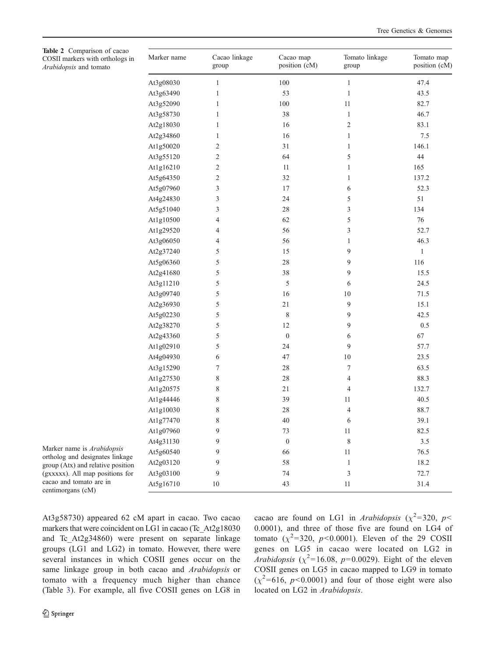<span id="page-9-0"></span>

| Table 2 Comparison of cacao<br>COSII markers with orthologs in<br>Arabidopsis and tomato | Marker name | Cacao linkage<br>group | Cacao map<br>position (cM) | Tomato linkage<br>group | Tomato map<br>position (cM) |
|------------------------------------------------------------------------------------------|-------------|------------------------|----------------------------|-------------------------|-----------------------------|
|                                                                                          | At3g08030   | $\mathbf{1}$           | 100                        | $\mathbf{1}$            | 47.4                        |
|                                                                                          | At3g63490   | $\mathbf{1}$           | 53                         | $\mathbf{1}$            | 43.5                        |
|                                                                                          | At3g52090   | $\mathbf{1}$           | $100\,$                    | 11                      | 82.7                        |
|                                                                                          | At3g58730   | $\mathbf{1}$           | $38\,$                     | $\mathbf{1}$            | 46.7                        |
|                                                                                          | At2g18030   | 1                      | 16                         | $\overline{c}$          | 83.1                        |
|                                                                                          | At2g34860   | $\mathbf{1}$           | 16                         | $\mathbf{1}$            | 7.5                         |
|                                                                                          | At1g50020   | $\overline{c}$         | 31                         | $\mathbf{1}$            | 146.1                       |
|                                                                                          | At3g55120   | $\overline{c}$         | 64                         | 5                       | $44\,$                      |
|                                                                                          | At1g16210   | $\overline{c}$         | 11                         | $\mathbf{1}$            | 165                         |
|                                                                                          | At5g64350   | 2                      | $32\,$                     | $\mathbf{1}$            | 137.2                       |
|                                                                                          | At5g07960   | 3                      | 17                         | 6                       | 52.3                        |
|                                                                                          | At4g24830   | 3                      | 24                         | 5                       | 51                          |
|                                                                                          | At5g51040   | 3                      | $28\,$                     | 3                       | 134                         |
|                                                                                          | At1g10500   | 4                      | 62                         | 5                       | $76\,$                      |
|                                                                                          | At1g29520   | 4                      | 56                         | 3                       | 52.7                        |
|                                                                                          | At3g06050   | 4                      | 56                         | $\mathbf{1}$            | 46.3                        |
|                                                                                          | At2g37240   | 5                      | 15                         | 9                       | $\mathbf{1}$                |
|                                                                                          | At5g06360   | 5                      | $28\,$                     | 9                       | 116                         |
|                                                                                          | At2g41680   | 5                      | $38\,$                     | 9                       | 15.5                        |
|                                                                                          | At3g11210   | 5                      | 5                          | 6                       | 24.5                        |
|                                                                                          | At3g09740   | 5                      | 16                         | 10                      | 71.5                        |
|                                                                                          | At2g36930   | 5                      | 21                         | 9                       | 15.1                        |
|                                                                                          | At5g02230   | 5                      | 8                          | 9                       | 42.5                        |
|                                                                                          | At2g38270   | 5                      | 12                         | 9                       | $0.5\,$                     |
|                                                                                          | At2g43360   | 5                      | $\boldsymbol{0}$           | 6                       | 67                          |
|                                                                                          | At1g02910   | 5                      | 24                         | 9                       | 57.7                        |
|                                                                                          | At4g04930   | 6                      | 47                         | 10                      | 23.5                        |
|                                                                                          | At3g15290   | 7                      | $28\,$                     | 7                       | 63.5                        |
|                                                                                          | At1g27530   | $\,$ $\,$              | $28\,$                     | 4                       | 88.3                        |
|                                                                                          | At1g20575   | 8                      | $21\,$                     | 4                       | 132.7                       |
|                                                                                          | At1g44446   | $\,$ $\,$              | 39                         | 11                      | 40.5                        |
|                                                                                          | At1g10030   | 8                      | 28                         | 4                       | 88.7                        |
|                                                                                          | At1g77470   | 8                      | $40\,$                     | 6                       | 39.1                        |
|                                                                                          | At1g07960   | 9                      | 73                         | 11                      | 82.5                        |
|                                                                                          | At4g31130   | 9                      | $\boldsymbol{0}$           | 8                       | 3.5                         |
| Marker name is Arabidopsis<br>ortholog and designates linkage                            | At5g60540   | 9                      | 66                         | 11                      | 76.5                        |
| group (Atx) and relative position                                                        | At2g03120   | 9                      | 58                         | 1                       | 18.2                        |
| (gxxxx). All map positions for                                                           | At3g03100   | 9                      | 74                         | 3                       | 72.7                        |
| cacao and tomato are in<br>centimorgans (cM)                                             | At5g16710   | 10                     | 43                         | 11                      | 31.4                        |

At3g58730) appeared 62 cM apart in cacao. Two cacao markers that were coincident on LG1 in cacao (Tc\_At2g18030 and Tc\_At2g34860) were present on separate linkage groups (LG1 and LG2) in tomato. However, there were several instances in which COSII genes occur on the same linkage group in both cacao and Arabidopsis or centimorgans (cM)

tomato with a frequency much higher than chance (Table [3](#page-10-0)). For example, all five COSII genes on LG8 in

cacao are found on LG1 in Arabidopsis ( $\chi^2$ =320, p< 0.0001), and three of those five are found on LG4 of tomato ( $\chi^2$ =320, p<0.0001). Eleven of the 29 COSII genes on LG5 in cacao were located on LG2 in *Arabidopsis* ( $\chi^2$ =16.08, *p*=0.0029). Eight of the eleven COSII genes on LG5 in cacao mapped to LG9 in tomato  $(\chi^2=616, p<0.0001)$  and four of those eight were also located on LG2 in Arabidopsis.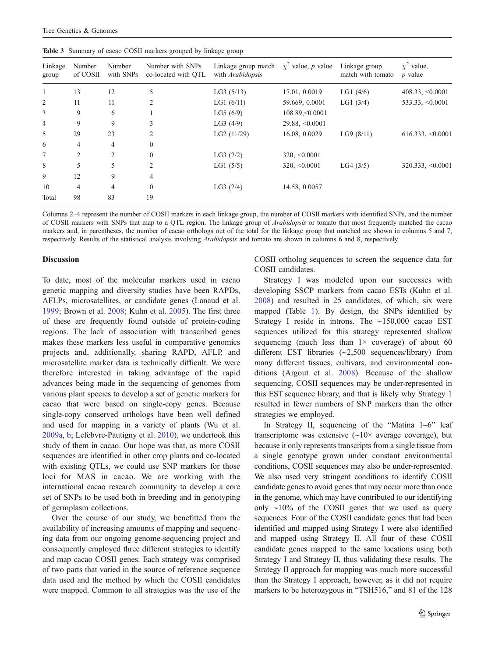|                  |                    |                     | <b>Table 3</b> Summary of cacao COSII markers grouped by linkage group |                                                |                         |                                    |                                |
|------------------|--------------------|---------------------|------------------------------------------------------------------------|------------------------------------------------|-------------------------|------------------------------------|--------------------------------|
| Linkage<br>group | Number<br>of COSII | Number<br>with SNPs | Number with SNPs<br>co-located with OTL                                | Linkage group match<br>with <i>Arabidopsis</i> | $\chi^2$ value, p value | Linkage group<br>match with tomato | $x^2$ value.<br><i>p</i> value |
|                  | 13                 | 12                  |                                                                        | LG3(5/13)                                      | 17.01, 0.0019           | LG1 $(4/6)$                        | $408.33, \leq 0.0001$          |
| 2                | 11                 | 11                  |                                                                        | LG1 $(6/11)$                                   | 59.669, 0.0001          | LG1(3/4)                           | 533.33, <0.0001                |
| 3                | 9                  | 6                   |                                                                        | LG5(6/9)                                       | 108.89, < 0.0001        |                                    |                                |
| 4                | 9                  | 9                   | 3                                                                      | LG3(4/9)                                       | $29.88, \le 0.0001$     |                                    |                                |
| 5                | 29                 | 23                  | 2                                                                      | LG2(11/29)                                     | 16.08, 0.0029           | LG9(8/11)                          | $616.333, \leq 0.000$          |
| 6                | 4                  | $\overline{4}$      | $\mathbf{0}$                                                           |                                                |                         |                                    |                                |
| 7                | $\overline{c}$     | $\mathfrak{D}$      | $\Omega$                                                               | LG3(2/2)                                       | $320, \le 0.0001$       |                                    |                                |
| 8                | 5                  | 5                   | 2                                                                      | LG1(5/5)                                       | $320, \le 0.0001$       | LG4(3/5)                           | $320.333, \leq 0.000$          |
| 9                | 12                 | 9                   | 4                                                                      |                                                |                         |                                    |                                |

10 4 4 0 LG3 (2/4) 14.58, 0.0057

<span id="page-10-0"></span>

Columns 2–4 represent the number of COSII markers in each linkage group, the number of COSII markers with identified SNPs, and the number of COSII markers with SNPs that map to a QTL region. The linkage group of Arabidopsis or tomato that most frequently matched the cacao markers and, in parentheses, the number of cacao orthologs out of the total for the linkage group that matched are shown in columns 5 and 7, respectively. Results of the statistical analysis involving Arabidopsis and tomato are shown in columns 6 and 8, respectively

#### Discussion

Total 98 83 19

To date, most of the molecular markers used in cacao genetic mapping and diversity studies have been RAPDs, AFLPs, microsatellites, or candidate genes (Lanaud et al. [1999;](#page-13-0) Brown et al. [2008;](#page-12-0) Kuhn et al. [2005](#page-13-0)). The first three of these are frequently found outside of protein-coding regions. The lack of association with transcribed genes makes these markers less useful in comparative genomics projects and, additionally, sharing RAPD, AFLP, and microsatellite marker data is technically difficult. We were therefore interested in taking advantage of the rapid advances being made in the sequencing of genomes from various plant species to develop a set of genetic markers for cacao that were based on single-copy genes. Because single-copy conserved orthologs have been well defined and used for mapping in a variety of plants (Wu et al. [2009a](#page-14-0), [b](#page-14-0); Lefebvre-Pautigny et al. [2010](#page-13-0)), we undertook this study of them in cacao. Our hope was that, as more COSII sequences are identified in other crop plants and co-located with existing QTLs, we could use SNP markers for those loci for MAS in cacao. We are working with the international cacao research community to develop a core set of SNPs to be used both in breeding and in genotyping of germplasm collections.

Over the course of our study, we benefitted from the availability of increasing amounts of mapping and sequencing data from our ongoing genome-sequencing project and consequently employed three different strategies to identify and map cacao COSII genes. Each strategy was comprised of two parts that varied in the source of reference sequence data used and the method by which the COSII candidates were mapped. Common to all strategies was the use of the COSII ortholog sequences to screen the sequence data for COSII candidates.

 $616.333, \leq 0.0001$ 

 $320.333, \leq 0.0001$ 

Strategy I was modeled upon our successes with developing SSCP markers from cacao ESTs (Kuhn et al. [2008](#page-13-0)) and resulted in 25 candidates, of which, six were mapped (Table [1](#page-7-0)). By design, the SNPs identified by Strategy I reside in introns. The ∼150,000 cacao EST sequences utilized for this strategy represented shallow sequencing (much less than  $1 \times$  coverage) of about 60 different EST libraries (∼2,500 sequences/library) from many different tissues, cultivars, and environmental conditions (Argout et al. [2008\)](#page-12-0). Because of the shallow sequencing, COSII sequences may be under-represented in this EST sequence library, and that is likely why Strategy 1 resulted in fewer numbers of SNP markers than the other strategies we employed.

In Strategy II, sequencing of the "Matina 1–6" leaf transcriptome was extensive (∼10× average coverage), but because it only represents transcripts from a single tissue from a single genotype grown under constant environmental conditions, COSII sequences may also be under-represented. We also used very stringent conditions to identify COSII candidate genes to avoid genes that may occur more than once in the genome, which may have contributed to our identifying only ∼10% of the COSII genes that we used as query sequences. Four of the COSII candidate genes that had been identified and mapped using Strategy I were also identified and mapped using Strategy II. All four of these COSII candidate genes mapped to the same locations using both Strategy I and Strategy II, thus validating these results. The Strategy II approach for mapping was much more successful than the Strategy I approach, however, as it did not require markers to be heterozygous in "TSH516," and 81 of the 128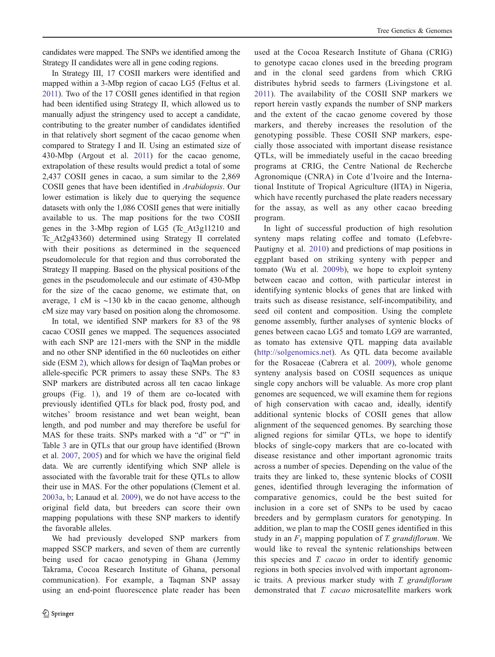candidates were mapped. The SNPs we identified among the Strategy II candidates were all in gene coding regions.

In Strategy III, 17 COSII markers were identified and mapped within a 3-Mbp region of cacao LG5 (Feltus et al. [2011](#page-13-0)). Two of the 17 COSII genes identified in that region had been identified using Strategy II, which allowed us to manually adjust the stringency used to accept a candidate, contributing to the greater number of candidates identified in that relatively short segment of the cacao genome when compared to Strategy I and II. Using an estimated size of 430-Mbp (Argout et al. [2011\)](#page-12-0) for the cacao genome, extrapolation of these results would predict a total of some 2,437 COSII genes in cacao, a sum similar to the 2,869 COSII genes that have been identified in Arabidopsis. Our lower estimation is likely due to querying the sequence datasets with only the 1,086 COSII genes that were initially available to us. The map positions for the two COSII genes in the 3-Mbp region of LG5 (Tc\_At3g11210 and Tc\_At2g43360) determined using Strategy II correlated with their positions as determined in the sequenced pseudomolecule for that region and thus corroborated the Strategy II mapping. Based on the physical positions of the genes in the pseudomolecule and our estimate of 430-Mbp for the size of the cacao genome, we estimate that, on average, 1 cM is ∼130 kb in the cacao genome, although cM size may vary based on position along the chromosome.

In total, we identified SNP markers for 83 of the 98 cacao COSII genes we mapped. The sequences associated with each SNP are 121-mers with the SNP in the middle and no other SNP identified in the 60 nucleotides on either side (ESM 2), which allows for design of TaqMan probes or allele-specific PCR primers to assay these SNPs. The 83 SNP markers are distributed across all ten cacao linkage groups (Fig. [1](#page-6-0)), and 19 of them are co-located with previously identified QTLs for black pod, frosty pod, and witches' broom resistance and wet bean weight, bean length, and pod number and may therefore be useful for MAS for these traits. SNPs marked with a "d" or "f" in Table [3](#page-10-0) are in QTLs that our group have identified (Brown et al. [2007,](#page-12-0) [2005\)](#page-12-0) and for which we have the original field data. We are currently identifying which SNP allele is associated with the favorable trait for these QTLs to allow their use in MAS. For the other populations (Clement et al. [2003a](#page-13-0), [b;](#page-13-0) Lanaud et al. [2009\)](#page-13-0), we do not have access to the original field data, but breeders can score their own mapping populations with these SNP markers to identify the favorable alleles.

We had previously developed SNP markers from mapped SSCP markers, and seven of them are currently being used for cacao genotyping in Ghana (Jemmy Takrama, Cocoa Research Institute of Ghana, personal communication). For example, a Taqman SNP assay using an end-point fluorescence plate reader has been

used at the Cocoa Research Institute of Ghana (CRIG) to genotype cacao clones used in the breeding program and in the clonal seed gardens from which CRIG distributes hybrid seeds to farmers (Livingstone et al. [2011\)](#page-13-0). The availability of the COSII SNP markers we report herein vastly expands the number of SNP markers and the extent of the cacao genome covered by those markers, and thereby increases the resolution of the genotyping possible. These COSII SNP markers, especially those associated with important disease resistance QTLs, will be immediately useful in the cacao breeding programs at CRIG, the Centre National de Recherche Agronomique (CNRA) in Cote d'Ivoire and the International Institute of Tropical Agriculture (IITA) in Nigeria, which have recently purchased the plate readers necessary for the assay, as well as any other cacao breeding program.

In light of successful production of high resolution synteny maps relating coffee and tomato (Lefebvre-Pautigny et al. [2010\)](#page-13-0) and predictions of map positions in eggplant based on striking synteny with pepper and tomato (Wu et al. [2009b](#page-14-0)), we hope to exploit synteny between cacao and cotton, with particular interest in identifying syntenic blocks of genes that are linked with traits such as disease resistance, self-incompatibility, and seed oil content and composition. Using the complete genome assembly, further analyses of syntenic blocks of genes between cacao LG5 and tomato LG9 are warranted, as tomato has extensive QTL mapping data available [\(http://solgenomics.net](http://solgenomics.net)). As QTL data become available for the Rosaceae (Cabrera et al. [2009\)](#page-12-0), whole genome synteny analysis based on COSII sequences as unique single copy anchors will be valuable. As more crop plant genomes are sequenced, we will examine them for regions of high conservation with cacao and, ideally, identify additional syntenic blocks of COSII genes that allow alignment of the sequenced genomes. By searching those aligned regions for similar QTLs, we hope to identify blocks of single-copy markers that are co-located with disease resistance and other important agronomic traits across a number of species. Depending on the value of the traits they are linked to, these syntenic blocks of COSII genes, identified through leveraging the information of comparative genomics, could be the best suited for inclusion in a core set of SNPs to be used by cacao breeders and by germplasm curators for genotyping. In addition, we plan to map the COSII genes identified in this study in an  $F_1$  mapping population of T. grandiflorum. We would like to reveal the syntenic relationships between this species and T. cacao in order to identify genomic regions in both species involved with important agronomic traits. A previous marker study with T. grandiflorum demonstrated that T. cacao microsatellite markers work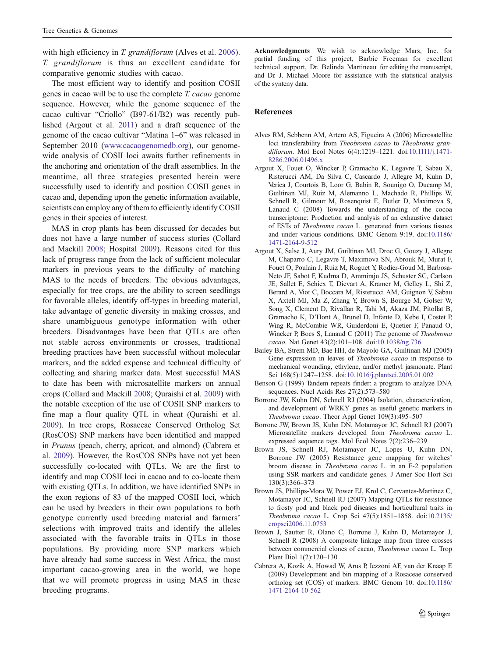<span id="page-12-0"></span>with high efficiency in T. grandiflorum (Alves et al. 2006). T. grandiflorum is thus an excellent candidate for comparative genomic studies with cacao.

The most efficient way to identify and position COSII genes in cacao will be to use the complete T. cacao genome sequence. However, while the genome sequence of the cacao cultivar "Criollo" (B97-61/B2) was recently published (Argout et al. 2011) and a draft sequence of the genome of the cacao cultivar "Matina 1–6" was released in September 2010 [\(www.cacaogenomedb.org](http://www.cacaogenomedb.org)), our genomewide analysis of COSII loci awaits further refinements in the anchoring and orientation of the draft assemblies. In the meantime, all three strategies presented herein were successfully used to identify and position COSII genes in cacao and, depending upon the genetic information available, scientists can employ any of them to efficiently identify COSII genes in their species of interest.

MAS in crop plants has been discussed for decades but does not have a large number of success stories (Collard and Mackill [2008](#page-13-0); Hospital [2009\)](#page-13-0). Reasons cited for this lack of progress range from the lack of sufficient molecular markers in previous years to the difficulty of matching MAS to the needs of breeders. The obvious advantages, especially for tree crops, are the ability to screen seedlings for favorable alleles, identify off-types in breeding material, take advantage of genetic diversity in making crosses, and share unambiguous genotype information with other breeders. Disadvantages have been that QTLs are often not stable across environments or crosses, traditional breeding practices have been successful without molecular markers, and the added expense and technical difficulty of collecting and sharing marker data. Most successful MAS to date has been with microsatellite markers on annual crops (Collard and Mackill [2008](#page-13-0); Quraishi et al. [2009\)](#page-14-0) with the notable exception of the use of COSII SNP markers to fine map a flour quality QTL in wheat (Quraishi et al. [2009\)](#page-14-0). In tree crops, Rosaceae Conserved Ortholog Set (RosCOS) SNP markers have been identified and mapped in Prunus (peach, cherry, apricot, and almond) (Cabrera et al. 2009). However, the RosCOS SNPs have not yet been successfully co-located with QTLs. We are the first to identify and map COSII loci in cacao and to co-locate them with existing QTLs. In addition, we have identified SNPs in the exon regions of 83 of the mapped COSII loci, which can be used by breeders in their own populations to both genotype currently used breeding material and farmers' selections with improved traits and identify the alleles associated with the favorable traits in QTLs in those populations. By providing more SNP markers which have already had some success in West Africa, the most important cacao-growing area in the world, we hope that we will promote progress in using MAS in these breeding programs.

Acknowledgments We wish to acknowledge Mars, Inc. for partial funding of this project, Barbie Freeman for excellent technical support, Dr. Belinda Martineau for editing the manuscript, and Dr. J. Michael Moore for assistance with the statistical analysis of the synteny data.

## References

- Alves RM, Sebbenn AM, Artero AS, Figueira A (2006) Microsatellite loci transferability from Theobroma cacao to Theobroma grandiflorum. Mol Ecol Notes 6(4):1219–1221. doi[:10.1111/j.1471-](http://dx.doi.org/10.1111/j.1471-8286.2006.01496.x) [8286.2006.01496.x](http://dx.doi.org/10.1111/j.1471-8286.2006.01496.x)
- Argout X, Fouet O, Wincker P, Gramacho K, Legavre T, Sabau X, Risterucci AM, Da Silva C, Cascardo J, Allegre M, Kuhn D, Verica J, Courtois B, Loor G, Babin R, Sounigo O, Ducamp M, Guiltinan MJ, Ruiz M, Alemanno L, Machado R, Phillips W, Schnell R, Gilmour M, Rosenquist E, Butler D, Maximova S, Lanaud C (2008) Towards the understanding of the cocoa transcriptome: Production and analysis of an exhaustive dataset of ESTs of Theobroma cacao L. generated from various tissues and under various conditions. BMC Genom 9:19. doi[:10.1186/](http://dx.doi.org/10.1186/1471-2164-9-512) [1471-2164-9-512](http://dx.doi.org/10.1186/1471-2164-9-512)
- Argout X, Salse J, Aury JM, Guiltinan MJ, Droc G, Gouzy J, Allegre M, Chaparro C, Legavre T, Maximova SN, Abrouk M, Murat F, Fouet O, Poulain J, Ruiz M, Roguet Y, Rodier-Goud M, Barbosa-Neto JF, Sabot F, Kudrna D, Ammiraju JS, Schuster SC, Carlson JE, Sallet E, Schiex T, Dievart A, Kramer M, Gelley L, Shi Z, Berard A, Viot C, Boccara M, Risterucci AM, Guignon V, Sabau X, Axtell MJ, Ma Z, Zhang Y, Brown S, Bourge M, Golser W, Song X, Clement D, Rivallan R, Tahi M, Akaza JM, Pitollat B, Gramacho K, D'Hont A, Brunel D, Infante D, Kebe I, Costet P, Wing R, McCombie WR, Guiderdoni E, Quetier F, Panaud O, Wincker P, Bocs S, Lanaud C (2011) The genome of Theobroma cacao. Nat Genet 43(2):101–108. doi:[10.1038/ng.736](http://dx.doi.org/10.1038/ng.736)
- Bailey BA, Strem MD, Bae HH, de Mayolo GA, Guiltinan MJ (2005) Gene expression in leaves of Theobroma cacao in response to mechanical wounding, ethylene, and/or methyl jasmonate. Plant Sci 168(5):1247–1258. doi[:10.1016/j.plantsci.2005.01.002](http://dx.doi.org/10.1016/j.plantsci.2005.01.002)
- Benson G (1999) Tandem repeats finder: a program to analyze DNA sequences. Nucl Acids Res 27(2):573–580
- Borrone JW, Kuhn DN, Schnell RJ (2004) Isolation, characterization, and development of WRKY genes as useful genetic markers in Theobroma cacao. Theor Appl Genet 109(3):495–507
- Borrone JW, Brown JS, Kuhn DN, Motamayor JC, Schnell RJ (2007) Microsatellite markers developed from Theobroma cacao L. expressed sequence tags. Mol Ecol Notes 7(2):236–239
- Brown JS, Schnell RJ, Motamayor JC, Lopes U, Kuhn DN, Borrone JW (2005) Resistance gene mapping for witches' broom disease in Theobroma cacao L. in an F-2 population using SSR markers and candidate genes. J Amer Soc Hort Sci 130(3):366–373
- Brown JS, Phillips-Mora W, Power EJ, Krol C, Cervantes-Martinez C, Motamayor JC, Schnell RJ (2007) Mapping QTLs for resistance to frosty pod and black pod diseases and horticultural traits in Theobroma cacao L. Crop Sci 47(5):1851–1858. doi[:10.2135/](http://dx.doi.org/10.2135/cropsci2006.11.0753) [cropsci2006.11.0753](http://dx.doi.org/10.2135/cropsci2006.11.0753)
- Brown J, Sautter R, Olano C, Borrone J, Kuhn D, Motamayor J, Schnell R (2008) A composite linkage map from three crosses between commercial clones of cacao, Theobroma cacao L. Trop Plant Biol 1(2):120–130
- Cabrera A, Kozik A, Howad W, Arus P, Iezzoni AF, van der Knaap E (2009) Development and bin mapping of a Rosaceae conserved ortholog set (COS) of markers. BMC Genom 10. doi[:10.1186/](http://dx.doi.org/10.1186/1471-2164-10-562) [1471-2164-10-562](http://dx.doi.org/10.1186/1471-2164-10-562)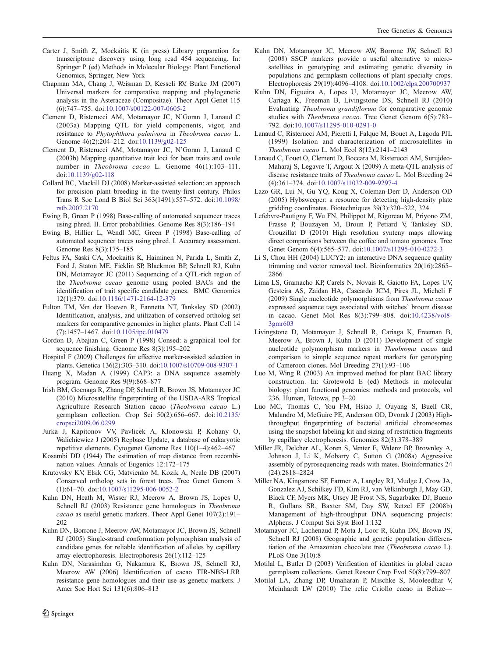- <span id="page-13-0"></span>Carter J, Smith Z, Mockaitis K (in press) Library preparation for transcriptome discovery using long read 454 sequencing. In: Springer P (ed) Methods in Molecular Biology: Plant Functional Genomics, Springer, New York
- Chapman MA, Chang J, Weisman D, Kesseli RV, Burke JM (2007) Universal markers for comparative mapping and phylogenetic analysis in the Asteraceae (Compositae). Theor Appl Genet 115 (6):747–755. doi:[10.1007/s00122-007-0605-2](http://dx.doi.org/10.1007/s00122-007-0605-2)
- Clement D, Risterucci AM, Motamayor JC, N'Goran J, Lanaud C (2003a) Mapping QTL for yield components, vigor, and resistance to Phytophthora palmivora in Theobroma cacao L. Genome 46(2):204–212. doi[:10.1139/g02-125](http://dx.doi.org/10.1139/g02-125)
- Clement D, Risterucci AM, Motamayor JC, N'Goran J, Lanaud C (2003b) Mapping quantitative trait loci for bean traits and ovule number in Theobroma cacao L. Genome 46(1):103–111. doi[:10.1139/g02-118](http://dx.doi.org/10.1139/g02-118)
- Collard BC, Mackill DJ (2008) Marker-assisted selection: an approach for precision plant breeding in the twenty-first century. Philos Trans R Soc Lond B Biol Sci 363(1491):557–572. doi[:10.1098/](http://dx.doi.org/10.1098/rstb.2007.2170) [rstb.2007.2170](http://dx.doi.org/10.1098/rstb.2007.2170)
- Ewing B, Green P (1998) Base-calling of automated sequencer traces using phred. II. Error probabilities. Genome Res 8(3):186–194
- Ewing B, Hillier L, Wendl MC, Green P (1998) Base-calling of automated sequencer traces using phred. I. Accuracy assessment. Genome Res 8(3):175–185
- Feltus FA, Saski CA, Mockaitis K, Haiminen N, Parida L, Smith Z, Ford J, Staton ME, Ficklin SP, Blackmon BP, Schnell RJ, Kuhn DN, Motamayor JC (2011) Sequencing of a QTL-rich region of the Theobroma cacao genome using pooled BACs and the identification of trait specific candidate genes. BMC Genomics 12(1):379. doi[:10.1186/1471-2164-12-379](http://dx.doi.org/10.1186/1471-2164-12-379)
- Fulton TM, Van der Hoeven R, Eannetta NT, Tanksley SD (2002) Identification, analysis, and utilization of conserved ortholog set markers for comparative genomics in higher plants. Plant Cell 14 (7):1457–1467. doi[:10.1105/tpc.010479](http://dx.doi.org/10.1105/tpc.010479)
- Gordon D, Abajian C, Green P (1998) Consed: a graphical tool for sequence finishing. Genome Res 8(3):195–202
- Hospital F (2009) Challenges for effective marker-assisted selection in plants. Genetica 136(2):303–310. doi[:10.1007/s10709-008-9307-1](http://dx.doi.org/10.1007/s10709-008-9307-1)
- Huang X, Madan A (1999) CAP3: a DNA sequence assembly program. Genome Res 9(9):868–877
- Irish BM, Goenaga R, Zhang DP, Schnell R, Brown JS, Motamayor JC (2010) Microsatellite fingerprinting of the USDA-ARS Tropical Agriculture Research Station cacao (Theobroma cacao L.) germplasm collection. Crop Sci 50(2):656–667. doi[:10.2135/](http://dx.doi.org/10.2135/cropsci2009.06.0299) [cropsci2009.06.0299](http://dx.doi.org/10.2135/cropsci2009.06.0299)
- Jurka J, Kapitonov VV, Pavlicek A, Klonowski P, Kohany O, Walichiewicz J (2005) Repbase Update, a database of eukaryotic repetitive elements. Cytogenet Genome Res 110(1–4):462–467
- Kosambi DD (1944) The estimation of map distance from recombination values. Annals of Eugenics 12:172–175
- Krutovsky KV, Elsik CG, Matvienko M, Kozik A, Neale DB (2007) Conserved ortholog sets in forest trees. Tree Genet Genom 3 (1):61–70. doi[:10.1007/s11295-006-0052-2](http://dx.doi.org/10.1007/s11295-006-0052-2)
- Kuhn DN, Heath M, Wisser RJ, Meerow A, Brown JS, Lopes U, Schnell RJ (2003) Resistance gene homologues in Theobroma cacao as useful genetic markers. Theor Appl Genet 107(2):191– 202
- Kuhn DN, Borrone J, Meerow AW, Motamayor JC, Brown JS, Schnell RJ (2005) Single-strand conformation polymorphism analysis of candidate genes for reliable identification of alleles by capillary array electrophoresis. Electrophoresis 26(1):112–125
- Kuhn DN, Narasimhan G, Nakamura K, Brown JS, Schnell RJ, Meerow AW (2006) Identification of cacao TIR-NBS-LRR resistance gene homologues and their use as genetic markers. J Amer Soc Hort Sci 131(6):806–813
- Kuhn DN, Motamayor JC, Meerow AW, Borrone JW, Schnell RJ (2008) SSCP markers provide a useful alternative to microsatellites in genotyping and estimating genetic diversity in populations and germplasm collections of plant specialty crops. Electrophoresis 29(19):4096–4108. doi:[10.1002/elps.200700937](http://dx.doi.org/10.1002/elps.200700937)
- Kuhn DN, Figueira A, Lopes U, Motamayor JC, Meerow AW, Cariaga K, Freeman B, Livingstone DS, Schnell RJ (2010) Evaluating Theobroma grandiflorum for comparative genomic studies with Theobroma cacao. Tree Genet Genom 6(5):783– 792. doi:[10.1007/s11295-010-0291-0](http://dx.doi.org/10.1007/s11295-010-0291-0)
- Lanaud C, Risterucci AM, Pieretti I, Falque M, Bouet A, Lagoda PJL (1999) Isolation and characterization of microsatellites in Theobroma cacao L. Mol Ecol 8(12):2141–2143
- Lanaud C, Fouet O, Clement D, Boccara M, Risterucci AM, Surujdeo-Maharaj S, Legavre T, Argout X (2009) A meta-QTL analysis of disease resistance traits of Theobroma cacao L. Mol Breeding 24 (4):361–374. doi:[10.1007/s11032-009-9297-4](http://dx.doi.org/10.1007/s11032-009-9297-4)
- Lazo GR, Lui N, Gu YQ, Kong X, Coleman-Derr D, Anderson OD (2005) Hybsweeper: a resource for detecting high-density plate gridding coordinates. Biotechniques 39(3):320–322, 324
- Lefebvre-Pautigny F, Wu FN, Philippot M, Rigoreau M, Priyono ZM, Frasse P, Bouzayen M, Broun P, Petiard V, Tanksley SD, Crouzillat D (2010) High resolution synteny maps allowing direct comparisons between the coffee and tomato genomes. Tree Genet Genom 6(4):565–577. doi[:10.1007/s11295-010-0272-3](http://dx.doi.org/10.1007/s11295-010-0272-3)
- Li S, Chou HH (2004) LUCY2: an interactive DNA sequence quality trimming and vector removal tool. Bioinformatics 20(16):2865– 2866
- Lima LS, Gramacho KP, Carels N, Novais R, Gaiotto FA, Lopes UV, Gesteira AS, Zaidan HA, Cascardo JCM, Pires JL, Micheli F (2009) Single nucleotide polymorphisms from Theobroma cacao expressed sequence tags associated with witches' broom disease in cacao. Genet Mol Res 8(3):799–808. doi[:10.4238/vol8-](http://dx.doi.org/10.4238/vol8-3gmr603) [3gmr603](http://dx.doi.org/10.4238/vol8-3gmr603)
- Livingstone D, Motamayor J, Schnell R, Cariaga K, Freeman B, Meerow A, Brown J, Kuhn D (2011) Development of single nucleotide polymorphism markers in Theobroma cacao and comparison to simple sequence repeat markers for genotyping of Cameroon clones. Mol Breeding 27(1):93–106
- Luo M, Wing R (2003) An improved method for plant BAC library construction. In: Grotewold E (ed) Methods in molecular biology: plant functional genomics: methods and protocols, vol 236. Human, Totowa, pp 3–20
- Luo MC, Thomas C, You FM, Hsiao J, Ouyang S, Buell CR, Malandro M, McGuire PE, Anderson OD, Dvorak J (2003) Highthroughput fingerprinting of bacterial artificial chromosomes using the snapshot labeling kit and sizing of restriction fragments by capillary electrophoresis. Genomics 82(3):378–389
- Miller JR, Delcher AL, Koren S, Venter E, Walenz BP, Brownley A, Johnson J, Li K, Mobarry C, Sutton G (2008a) Aggressive assembly of pyrosequencing reads with mates. Bioinformatics 24 (24):2818–2824
- Miller NA, Kingsmore SF, Farmer A, Langley RJ, Mudge J, Crow JA, Gonzalez AJ, Schilkey FD, Kim RJ, van Velkinburgh J, May GD, Black CF, Myers MK, Utsey JP, Frost NS, Sugarbaker DJ, Bueno R, Gullans SR, Baxter SM, Day SW, Retzel EF (2008b) Management of high-throughput DNA sequencing projects: Alpheus. J Comput Sci Syst Biol 1:132
- Motamayor JC, Lachenaud P, Mota J, Loor R, Kuhn DN, Brown JS, Schnell RJ (2008) Geographic and genetic population differentiation of the Amazonian chocolate tree (Theobroma cacao L). PLoS One 3(10):8
- Motilal L, Butler D (2003) Verification of identities in global cacao germplasm collections. Genet Resour Crop Evol 50(8):799–807
- Motilal LA, Zhang DP, Umaharan P, Mischke S, Mooleedhar V, Meinhardt LW (2010) The relic Criollo cacao in Belize—